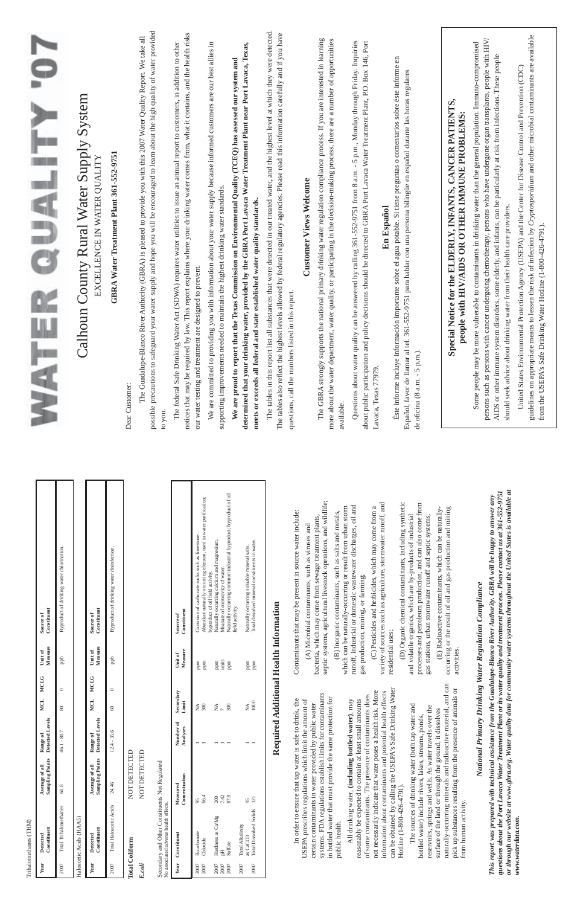| available.<br>to you.<br>Naturally occurring common industrial byproduct; byproduct of oil<br>Abundant naturally occurring element, used in water purification;<br>septic systems, agricultural livestock operations, and wildlife;<br>variety of sources such as agriculture, stormwater runoff, and<br>(D) Organic chemical contaminants, including synthetic<br>processes and petroleum production, and can also come from<br>runoff, industrial or domestic wastewater discharges, oil and<br>which can be naturally-occurring or result from urban storm<br>(C) Pesticides and herbicides, which may come from a<br>(E) Radioactive contaminants, which can be naturally-<br>occurring or the result of oil and gas production and mining<br>Contaminants that may be present in source water include:<br>(B) Inorganic contaminants, such as salts and metals,<br>gas stations, urban stormwater runoff and septic systems;<br>and volatile organics, which are by-products of industrial<br>bacteria, which may come from sewage treatment plants,<br>(A) Microbial contaminants, such as viruses and<br>Corrosion of carbonate rocks such as limestone.<br>Naturally occurring soluable mineral salts.<br>Total dissolved mineral constituents in water.<br>byproduct of oil field activity.<br>Naturally occurring calcium and magnesium.<br>Measure of corrosivity of water.<br>Byproduct of drinking water disinfection.<br>gas production, mining, or farming;<br>Health Information<br>field activity.<br>Constituent<br>Constituent<br>Source of<br>Source of<br>residential uses;<br>Measure<br>activities.<br>Unit of<br>Measure<br>Unit of<br>$_{\rm{ppb}}$<br>units | afeguard your water supply and hope you will be encouraged to learn about the high quality of water provided<br>The tables in this report list all substances that were detected in our treated water, and the highest level at which they were detected.<br>The tables also reflect the highest levels allowed by federal regulatory agencies. Please read this information carefully and if you have<br>notices that may be required by law. This report explains where your drinking water comes from, what it contains, and the health risks<br>The Guadalupe-Blanco River Authority (GBRA) is pleased to provide you with this 2007 Water Quality Report. We take all<br>The GBRA strongly supports the national primary drinking water regulation compliance process. If you are interested in learning<br>more about the water department, water quality, or participating in the decision-making process, there are a number of opportunities<br>70<br>Questions about water quality can be answered by calling 361-552-9751 from 8 a.m. - 5 p.m., Monday through Friday. Inquiries<br>n and policy decisions should be directed to GBRA Port Lavaca Water Treatment Plant, P.O. Box 146, Port<br>The federal Safe Drinking Water Act (SDWA) requires water utilities to issue an annual report to customers, in addition to other<br>We are committed to providing you with information about your water supply because informed customers are our best allies in<br>determined that your drinking water, provided by the GBRA Port Lavaca Water Treatment Plant near Port Lavaca, Texas,<br>$\epsilon$ n<br>We are proud to report that the Texas Commission on Environmental Quality (TCEQ) has assessed our system and<br>Éste informe incluye información importante sobre el agua potable. Si tiene preguntas o comentarios sobre éste informe<br>al tel. 361-552-9751 para hablar con una persona bilingüe en español durante las horas regulares<br>Calhoun County Rural Water Supply System<br>Special Notice for the ELDERLY, INFANTS, CANCER PATIENTS,<br>ER QUALITY<br>GBRA Water Treatment Plant 361-552-9751<br>EXCELLENCE IN WATER QUALITY<br><b>Customer Views Welcome</b><br>supporting improvements needed to maintain the highest drinking water standards<br>leral and state established water quality standards.<br>En Español<br>our water testing and treatment are designed to prevent<br>questions, call the numbers listed in this report<br>de oficina (8 a.m. - 5 p.m.).<br>possible precautions to s<br>meets or exceeds all fed<br>about public participatio<br>Español, favor de llamar<br>ENN<br>Lavaca, Texas 77979.<br>Dear Customer: |
|---------------------------------------------------------------------------------------------------------------------------------------------------------------------------------------------------------------------------------------------------------------------------------------------------------------------------------------------------------------------------------------------------------------------------------------------------------------------------------------------------------------------------------------------------------------------------------------------------------------------------------------------------------------------------------------------------------------------------------------------------------------------------------------------------------------------------------------------------------------------------------------------------------------------------------------------------------------------------------------------------------------------------------------------------------------------------------------------------------------------------------------------------------------------------------------------------------------------------------------------------------------------------------------------------------------------------------------------------------------------------------------------------------------------------------------------------------------------------------------------------------------------------------------------------------------------------------------------------------------------------------------------------------------------------------------|---------------------------------------------------------------------------------------------------------------------------------------------------------------------------------------------------------------------------------------------------------------------------------------------------------------------------------------------------------------------------------------------------------------------------------------------------------------------------------------------------------------------------------------------------------------------------------------------------------------------------------------------------------------------------------------------------------------------------------------------------------------------------------------------------------------------------------------------------------------------------------------------------------------------------------------------------------------------------------------------------------------------------------------------------------------------------------------------------------------------------------------------------------------------------------------------------------------------------------------------------------------------------------------------------------------------------------------------------------------------------------------------------------------------------------------------------------------------------------------------------------------------------------------------------------------------------------------------------------------------------------------------------------------------------------------------------------------------------------------------------------------------------------------------------------------------------------------------------------------------------------------------------------------------------------------------------------------------------------------------------------------------------------------------------------------------------------------------------------------------------------------------------------------------------------------------------------------------------------------------------------------------------------------------------------------------------------------------------------------------------------------------------------------------------------------------------------------------------------------------------------------------------------------------------------------------------------------------------------------------------------------------------------------------------------|
| unity water systems throughout the United States is available at<br>uality and treatment process. Please contact us at 361-552-9751<br>pe-Blanco River Authority. GBRA will be happy to answer any<br><b>uter Regulation Compliance</b>                                                                                                                                                                                                                                                                                                                                                                                                                                                                                                                                                                                                                                                                                                                                                                                                                                                                                                                                                                                                                                                                                                                                                                                                                                                                                                                                                                                                                                               | guidelines on appropriate means to lessen the risk of infection by Cryptosporidium and other microbial contaminants are available<br>persons such as persons with cancer undergoing chemotherapy, persons who have undergone organ transplants, people with HIV/<br>Some people may be more vulnerable to contaminants in drinking water than the general population. Immuno-compromised<br>AIDS or other immune system disorders, some elderly, and infants, can be particularly at risk from infections. These people<br>United States Environmental Protection Agency (USEPA) and the Center for Disease Control and Prevention (CDC)<br>people with HIV/AIDS OR OTHER IMMUNE PROBLEMS<br>should seek advice about drinking water from their health care providers.<br>from the USEPA's Safe Drinking Water Hotline (1-800-426-4791).                                                                                                                                                                                                                                                                                                                                                                                                                                                                                                                                                                                                                                                                                                                                                                                                                                                                                                                                                                                                                                                                                                                                                                                                                                                                                                                                                                                                                                                                                                                                                                                                                                                                                                                                                                                                                                        |

*questions about the Port Lavaca Water Treatment Plant or its water quality and treatment process. Please contact us at 361-552-9751 This report was prepared with technical assistance from the Guadalupe-Blanco River Authority. GBRA will be happy to answer any National Primary Drinking Water Regulation Compliance* National Primary Drinking Water Regu<br>This report was prepared with technical assistance from the Guadalupe-Blanco<br>questions about the Port Lavaca Water Treatment Plant or its water quality and<br>or through our website at www

| ociated adverse ilearni effects.                              |                                                                                                                                                                                                                                                                                                                                                                         |                       |                                         |                                                                                                                 |
|---------------------------------------------------------------|-------------------------------------------------------------------------------------------------------------------------------------------------------------------------------------------------------------------------------------------------------------------------------------------------------------------------------------------------------------------------|-----------------------|-----------------------------------------|-----------------------------------------------------------------------------------------------------------------|
| Constituent                                                   | Concentration<br>Measured                                                                                                                                                                                                                                                                                                                                               | Number of<br>Analyses | Secondary<br>Limit                      | Measure<br>Unit of                                                                                              |
| Bicarbonate<br>Chloride                                       | 66.4<br>95                                                                                                                                                                                                                                                                                                                                                              |                       | 300<br>₹                                | ppm<br>mdd                                                                                                      |
| Hardness as Ca/Mg<br>Sulfate<br>$\overline{\mathrm{pH}}$      | 87.9<br>7.42<br>200                                                                                                                                                                                                                                                                                                                                                     |                       | 300<br>$\mathop{\mathsf{Z}}\limits_{7}$ | units<br>ppm<br>ppm                                                                                             |
| <b>Total Dissolved Solids</b><br>Total Alkalinity<br>as CaCO3 | 321<br>95                                                                                                                                                                                                                                                                                                                                                               |                       | 1000<br>$\mathbb{X}^{\mathbb{A}}$       | mdd<br>mdd                                                                                                      |
|                                                               |                                                                                                                                                                                                                                                                                                                                                                         |                       | Required Additional Health In           |                                                                                                                 |
| public health.                                                | systems. FDA regulations establish limits for contaminants<br>in bottled water that must provide the same protection for<br>In order to ensure that tap water is safe to drink, the<br>USEPA prescribes regulations which limit the amount of<br>certain contaminants in water provided by public water                                                                 |                       |                                         | Contaminant<br>$(A)$ Mi<br>bacteria, whi<br>septic system<br>$(B)$ Ino                                          |
| Hotline (1-800-426-4791).                                     | can be obtained by calling the USEPA's Safe Drinking Water<br>not necessarily indicate that water poses a health risk. More<br>information about contaminants and potential health effects<br>of some contaminants. The presence of contaminants does<br>All drinking water, (including bottled water), may<br>reasonably be expected to contain at least small amounts |                       |                                         | which can be<br>runoff, indus<br>gas productio<br>(C) Pes<br>variety of so<br>residential us                    |
| from human activity.                                          | naturally-occurring minerals and radioactive material, and can<br>pick up substances resulting from the presence of animals or<br>The sources of drinking water (both tap water and<br>reservoirs, springs and wells. As water travels over the<br>surface of the land or through the ground, it dissolves<br>bottled water) include rivers, lakes, streams, ponds,     |                       |                                         | $\overline{O}$ Org<br>processes an<br>$(E)$ Rad<br>and volatile<br>gas stations,<br>occurring or<br>activities. |
|                                                               |                                                                                                                                                                                                                                                                                                                                                                         |                       |                                         |                                                                                                                 |

Secondary and Other Constituents Not Regulated<br>No associated adverse health effects. Secondary and Other Constituents Not Regulated

Trihalomethanes (THM) Trihalomethanes (THM)

## **Total Coliform** NOT DETECTED **Total Coliform**

 $E.co$ li

### NOT DETECTED NOT DETECTED *E.coli* NOT DETECTED

# **Required Additional Health Information**

*or through our website at www.gbra.org. Water quality data for community water systems throughout the United States is available at www.waterdata.com.*

|                                       | Vaturally occurring common industrial byproduct; byproduct of oil<br>Abundant naturally occurring element, used in water purification;<br>Corrosion of carbonate rocks such as limestone.<br>Vaturally occurring calcium and magnesium. |  |
|---------------------------------------|-----------------------------------------------------------------------------------------------------------------------------------------------------------------------------------------------------------------------------------------|--|
| Constituent<br>Source of              | Total dissolved mineral constituents in water.<br>Naturally occurring soluable mineral salts.<br>Measure of corrosivity of water.<br>syproduct of oil field activity.<br>leld activity.                                                 |  |
| Unit of<br>Measure                    | ppm<br>units<br>mdd<br>mdd<br>ppm<br>mdd                                                                                                                                                                                                |  |
| Number of Secondary<br>Analyses Limit | $\approx$<br>300<br>≸<br>300<br>X<br>₹                                                                                                                                                                                                  |  |
|                                       |                                                                                                                                                                                                                                         |  |
| Concentration<br>Measured             | 66.4<br>87.9<br>7.42<br>321                                                                                                                                                                                                             |  |
| Year Constituent                      | <b>Total Dissolved Solids</b><br>Hardness as Ca/Mg<br>Total Alkalinity<br>2007 Bicarbonate<br>as CaCO <sub>3</sub><br>Chloride<br>sulfate                                                                                               |  |
|                                       | 2007<br>2007<br>2007<br>2007<br>2007<br>2007                                                                                                                                                                                            |  |

No associated adverse health effects.

| Year | Constituent<br>Detected         | Average of all Range of<br>Sampling Points Detected Levels |               | MCL | MCLG Unit of Source of<br>Measure | Constituent                               |
|------|---------------------------------|------------------------------------------------------------|---------------|-----|-----------------------------------|-------------------------------------------|
|      |                                 |                                                            |               |     |                                   |                                           |
|      | 2007 Total Trihalomethanes 60.8 |                                                            | $46.1 - 80.7$ |     | ppb                               | Byproduct of drinking water chlorination. |
|      | Haloacetic Acids (HAA5)         |                                                            |               |     |                                   |                                           |

|                           | Constituent<br>Source of                   | Byproduct of drinking water disinfection. |
|---------------------------|--------------------------------------------|-------------------------------------------|
|                           | Measure<br>Unit of                         | edd                                       |
|                           | MCLG                                       |                                           |
|                           | MCL                                        |                                           |
|                           | Detected Levels                            | $12.4 - 35.6$                             |
|                           | Average of all Range of<br>sampling Points | 24.46                                     |
| lanuaccine richas (Trend) | Constituent<br>Detected                    | Total Haloacetic Acids                    |
|                           | Year                                       | 2007                                      |